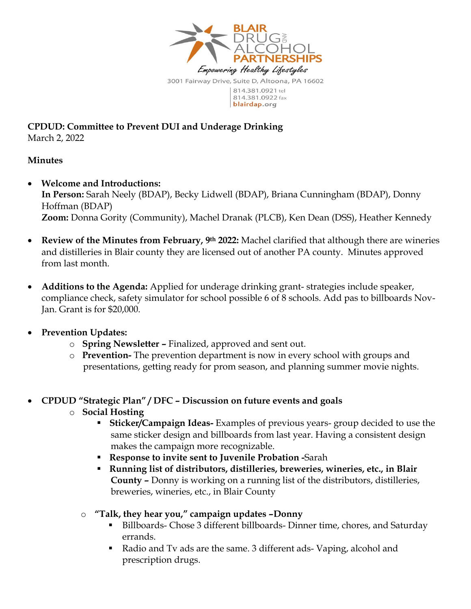

**CPDUD: Committee to Prevent DUI and Underage Drinking** March 2, 2022

## **Minutes**

- **Welcome and Introductions: In Person:** Sarah Neely (BDAP), Becky Lidwell (BDAP), Briana Cunningham (BDAP), Donny Hoffman (BDAP) **Zoom:** Donna Gority (Community), Machel Dranak (PLCB), Ken Dean (DSS), Heather Kennedy
- **Review of the Minutes from February, 9th 2022:** Machel clarified that although there are wineries and distilleries in Blair county they are licensed out of another PA county. Minutes approved from last month.
- **Additions to the Agenda:** Applied for underage drinking grant- strategies include speaker, compliance check, safety simulator for school possible 6 of 8 schools. Add pas to billboards Nov-Jan. Grant is for \$20,000.
- **Prevention Updates:** 
	- o **Spring Newsletter –** Finalized, approved and sent out.
	- o **Prevention-** The prevention department is now in every school with groups and presentations, getting ready for prom season, and planning summer movie nights.
- **CPDUD "Strategic Plan" / DFC – Discussion on future events and goals** 
	- o **Social Hosting** 
		- **Sticker/Campaign Ideas-** Examples of previous years- group decided to use the same sticker design and billboards from last year. Having a consistent design makes the campaign more recognizable.
		- **Response to invite sent to Juvenile Probation -**Sarah
		- **Running list of distributors, distilleries, breweries, wineries, etc., in Blair County –** Donny is working on a running list of the distributors, distilleries, breweries, wineries, etc., in Blair County
		- o **"Talk, they hear you," campaign updates –Donny**
			- Billboards- Chose 3 different billboards- Dinner time, chores, and Saturday errands.
			- Radio and Tv ads are the same. 3 different ads-Vaping, alcohol and prescription drugs.